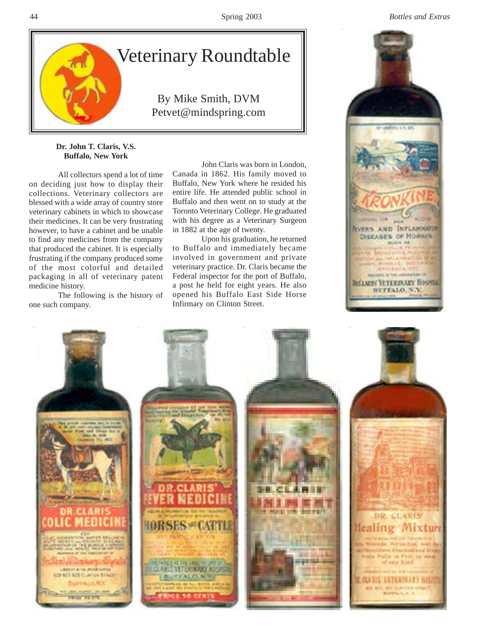

## **Dr. John T. Claris, V.S. Buffalo, New York**

All collectors spend a lot of time on deciding just how to display their collections. Veterinary collectors are blessed with a wide array of country store veterinary cabinets in which to showcase their medicines. It can be very frustrating however, to have a cabinet and be unable to find any medicines from the company that produced the cabinet. It is especially frustrating if the company produced some of the most colorful and detailed packaging in all of veterinary patent medicine history.

The following is the history of one such company.

John Claris was born in London, Canada in 1862. His family moved to Buffalo, New York where he resided his entire life. He attended public school in Buffalo and then went on to study at the Toronto Veterinary College. He graduated with his degree as a Veterinary Surgeon in 1882 at the age of twenty.

Upon his graduation, he returned to Buffalo and immediately became involved in government and private veterinary practice. Dr. Claris became the Federal inspector for the port of Buffalo, a post he held for eight years. He also opened his Buffalo East Side Horse Infirmary on Clinton Street.